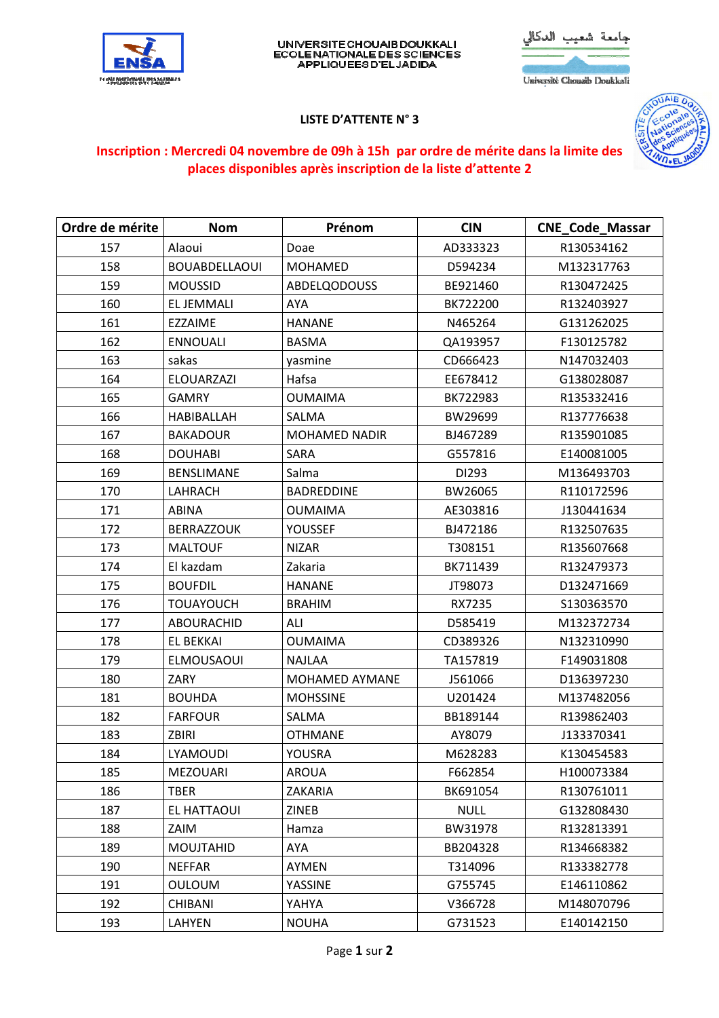

## UNIVERSITECHOUAIB DOUKKALI<br>ECOLENATIONALE DES SCIENCES<br>APPLIQUEES D'EL JADIDA

عة شعيب الدكالي

Université Chouaib Doukkali

## **LISTE D'ATTENTE N° 3**



## Inscription : Mercredi 04 novembre de 09h à 15h par ordre de mérite dans la limite des places disponibles après inscription de la liste d'attente 2

| Ordre de mérite | <b>Nom</b>           | Prénom               | <b>CIN</b>  | <b>CNE_Code_Massar</b> |
|-----------------|----------------------|----------------------|-------------|------------------------|
| 157             | Alaoui               | Doae                 | AD333323    | R130534162             |
| 158             | <b>BOUABDELLAOUI</b> | <b>MOHAMED</b>       | D594234     | M132317763             |
| 159             | <b>MOUSSID</b>       | <b>ABDELQODOUSS</b>  | BE921460    | R130472425             |
| 160             | <b>ELJEMMALI</b>     | AYA                  | BK722200    | R132403927             |
| 161             | EZZAIME              | <b>HANANE</b>        | N465264     | G131262025             |
| 162             | <b>ENNOUALI</b>      | <b>BASMA</b>         | QA193957    | F130125782             |
| 163             | sakas                | yasmine              | CD666423    | N147032403             |
| 164             | <b>ELOUARZAZI</b>    | Hafsa                | EE678412    | G138028087             |
| 165             | <b>GAMRY</b>         | <b>OUMAIMA</b>       | BK722983    | R135332416             |
| 166             | <b>HABIBALLAH</b>    | SALMA                | BW29699     | R137776638             |
| 167             | <b>BAKADOUR</b>      | <b>MOHAMED NADIR</b> | BJ467289    | R135901085             |
| 168             | <b>DOUHABI</b>       | SARA                 | G557816     | E140081005             |
| 169             | <b>BENSLIMANE</b>    | Salma                | DI293       | M136493703             |
| 170             | LAHRACH              | <b>BADREDDINE</b>    | BW26065     | R110172596             |
| 171             | <b>ABINA</b>         | <b>OUMAIMA</b>       | AE303816    | J130441634             |
| 172             | <b>BERRAZZOUK</b>    | YOUSSEF              | BJ472186    | R132507635             |
| 173             | <b>MALTOUF</b>       | <b>NIZAR</b>         | T308151     | R135607668             |
| 174             | El kazdam            | Zakaria              | BK711439    | R132479373             |
| 175             | <b>BOUFDIL</b>       | <b>HANANE</b>        | JT98073     | D132471669             |
| 176             | <b>TOUAYOUCH</b>     | <b>BRAHIM</b>        | RX7235      | S130363570             |
| 177             | ABOURACHID           | ALI                  | D585419     | M132372734             |
| 178             | EL BEKKAI            | <b>OUMAIMA</b>       | CD389326    | N132310990             |
| 179             | <b>ELMOUSAOUI</b>    | <b>NAJLAA</b>        | TA157819    | F149031808             |
| 180             | ZARY                 | MOHAMED AYMANE       | J561066     | D136397230             |
| 181             | <b>BOUHDA</b>        | <b>MOHSSINE</b>      | U201424     | M137482056             |
| 182             | <b>FARFOUR</b>       | SALMA                | BB189144    | R139862403             |
| 183             | <b>ZBIRI</b>         | <b>OTHMANE</b>       | AY8079      | J133370341             |
| 184             | LYAMOUDI             | YOUSRA               | M628283     | K130454583             |
| 185             | <b>MEZOUARI</b>      | <b>AROUA</b>         | F662854     | H100073384             |
| 186             | <b>TBER</b>          | ZAKARIA              | BK691054    | R130761011             |
| 187             | EL HATTAOUI          | <b>ZINEB</b>         | <b>NULL</b> | G132808430             |
| 188             | ZAIM                 | Hamza                | BW31978     | R132813391             |
| 189             | <b>MOUJTAHID</b>     | AYA                  | BB204328    | R134668382             |
| 190             | <b>NEFFAR</b>        | AYMEN                | T314096     | R133382778             |
| 191             | <b>OULOUM</b>        | YASSINE              | G755745     | E146110862             |
| 192             | <b>CHIBANI</b>       | YAHYA                | V366728     | M148070796             |
| 193             | LAHYEN               | <b>NOUHA</b>         | G731523     | E140142150             |